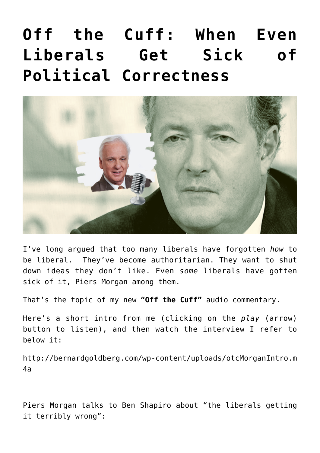## **[Off the Cuff: When Even](https://bernardgoldberg.com/off-the-cuff-when-even-liberals-get-sick-of-political-correctness/) [Liberals Get Sick of](https://bernardgoldberg.com/off-the-cuff-when-even-liberals-get-sick-of-political-correctness/) [Political Correctness](https://bernardgoldberg.com/off-the-cuff-when-even-liberals-get-sick-of-political-correctness/)**



I've long argued that too many liberals have forgotten *how* to be liberal. They've become authoritarian. They want to shut down ideas they don't like. Even *some* liberals have gotten sick of it, Piers Morgan among them.

That's the topic of my new **"Off the Cuff"** audio commentary.

Here's a short intro from me (clicking on the *play* (arrow) button to listen), and then watch the interview I refer to below it:

[http://bernardgoldberg.com/wp-content/uploads/otcMorganIntro.m](http://bernardgoldberg.com/wp-content/uploads/otcMorganIntro.m4a) [4a](http://bernardgoldberg.com/wp-content/uploads/otcMorganIntro.m4a)

Piers Morgan talks to Ben Shapiro about "the liberals getting it terribly wrong":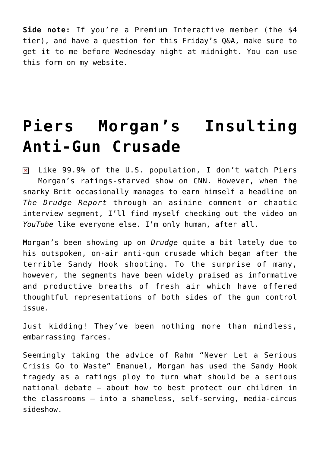**Side note:** If you're a Premium Interactive member (the \$4 tier), and have a question for this Friday's Q&A, make sure to get it to me before Wednesday night at midnight. You can use [this form on my website.](https://bernardgoldberg.com/submit-a-question-for-bernies-premium-qa/)

## **[Piers Morgan's Insulting](https://bernardgoldberg.com/piers-morgans-insulting-anti-gun-crusade/) [Anti-Gun Crusade](https://bernardgoldberg.com/piers-morgans-insulting-anti-gun-crusade/)**

 $\overline{\mathbf{x}}$  Like 99.9% of the U.S. population, I don't watch Piers Morgan's ratings-starved show on CNN. However, when the snarky Brit occasionally manages to earn himself a headline on *The Drudge Report* through an asinine comment or chaotic interview segment, I'll find myself checking out the video on *YouTube* like everyone else. I'm only human, after all.

Morgan's been showing up on *Drudge* quite a bit lately due to his outspoken, on-air anti-gun crusade which began after the terrible Sandy Hook shooting. To the surprise of many, however, the segments have been widely praised as informative and productive breaths of fresh air which have offered thoughtful representations of both sides of the gun control issue.

Just kidding! They've been nothing more than mindless, embarrassing farces.

Seemingly taking the advice of Rahm "Never Let a Serious Crisis Go to Waste" Emanuel, Morgan has used the Sandy Hook tragedy as a ratings ploy to turn what should be a serious national debate – about how to best protect our children in the classrooms – into a shameless, self-serving, media-circus sideshow.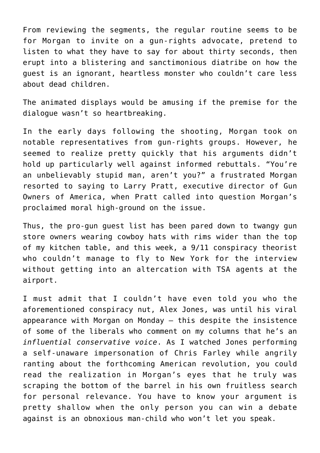From reviewing the segments, the regular routine seems to be for Morgan to invite on a gun-rights advocate, pretend to listen to what they have to say for about thirty seconds, then erupt into a blistering and sanctimonious diatribe on how the guest is an ignorant, heartless monster who couldn't care less about dead children.

The animated displays would be amusing if the premise for the dialogue wasn't so heartbreaking.

In the early days following the shooting, Morgan took on notable representatives from gun-rights groups. However, he seemed to realize pretty quickly that his arguments didn't hold up particularly well against informed rebuttals. "You're an unbelievably stupid man, aren't you?" a frustrated Morgan resorted to saying to Larry Pratt, executive director of Gun Owners of America, when Pratt called into question Morgan's proclaimed moral high-ground on the issue.

Thus, the pro-gun guest list has been pared down to twangy gun store owners wearing cowboy hats with rims wider than the top of my kitchen table, and this week, a 9/11 conspiracy theorist who couldn't manage to fly to New York for the interview without getting into an altercation with TSA agents at the airport.

I must admit that I couldn't have even told you who the aforementioned conspiracy nut, Alex Jones, was until his viral appearance with Morgan on Monday – this despite the insistence of some of the liberals who comment on my columns that he's an *influential conservative voice*. As I watched Jones performing a self-unaware impersonation of Chris Farley while angrily ranting about the forthcoming American revolution, you could read the realization in Morgan's eyes that he truly was scraping the bottom of the barrel in his own fruitless search for personal relevance. You have to know your argument is pretty shallow when the only person you can win a debate against is an obnoxious man-child who won't let you speak.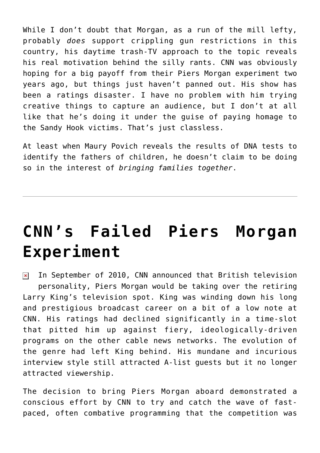While I don't doubt that Morgan, as a run of the mill lefty, probably *does* support crippling gun restrictions in this country, his daytime trash-TV approach to the topic reveals his real motivation behind the silly rants. CNN was obviously hoping for a big payoff from their [Piers Morgan experiment](http://www.hdi3.wpengine.com/cnns-failed-piers-morgan-experiment) two years ago, but things just haven't panned out. His show has been a ratings disaster. I have no problem with him trying creative things to capture an audience, but I don't at all like that he's doing it under the guise of paying homage to the Sandy Hook victims. That's just classless.

At least when Maury Povich reveals the results of DNA tests to identify the fathers of children, he doesn't claim to be doing so in the interest of *bringing families together*.

## **[CNN's Failed Piers Morgan](https://bernardgoldberg.com/cnns-failed-piers-morgan-experiment/) [Experiment](https://bernardgoldberg.com/cnns-failed-piers-morgan-experiment/)**

In September of 2010, CNN announced that British television  $\pmb{\times}$ personality, Piers Morgan would be taking over the retiring Larry King's television spot. King was winding down his long and prestigious broadcast career on a bit of a low note at CNN. His ratings had declined significantly in a time-slot that pitted him up against fiery, ideologically-driven programs on the other cable news networks. The evolution of the genre had left King behind. His mundane and incurious interview style still attracted A-list guests but it no longer attracted viewership.

The decision to bring Piers Morgan aboard demonstrated a conscious effort by CNN to try and catch the wave of fastpaced, often combative programming that the competition was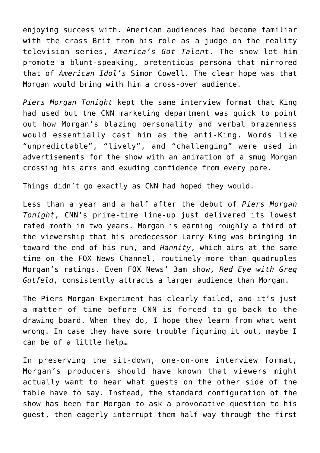enjoying success with. American audiences had become familiar with the crass Brit from his role as a judge on the reality television series, *America's Got Talent*. The show let him promote a blunt-speaking, pretentious persona that mirrored that of *American Idol's* Simon Cowell. The clear hope was that Morgan would bring with him a cross-over audience.

*Piers Morgan Tonight* kept the same interview format that King had used but the CNN marketing department was quick to point out how Morgan's blazing personality and verbal brazenness would essentially cast him as the anti-King. Words like "unpredictable", "lively", and "challenging" were used in advertisements for the show with an animation of a smug Morgan crossing his arms and exuding confidence from every pore.

Things didn't go exactly as CNN had hoped they would.

Less than a year and a half after the debut of *Piers Morgan Tonight*, CNN's prime-time line-up just delivered its lowest rated month in two years. Morgan is earning roughly a third of the viewership that his predecessor Larry King was bringing in toward the end of his run, and *Hannity*, which airs at the same time on the FOX News Channel, routinely more than quadruples Morgan's ratings. Even FOX News' 3am show, *Red Eye with Greg Gutfeld*, consistently attracts a larger audience than Morgan.

The Piers Morgan Experiment has clearly failed, and it's just a matter of time before CNN is forced to go back to the drawing board. When they do, I hope they learn from what went wrong. In case they have some trouble figuring it out, maybe I can be of a little help…

In preserving the sit-down, one-on-one interview format, Morgan's producers should have known that viewers might actually want to hear what guests on the other side of the table have to say. Instead, the standard configuration of the show has been for Morgan to ask a provocative question to his guest, then eagerly interrupt them half way through the first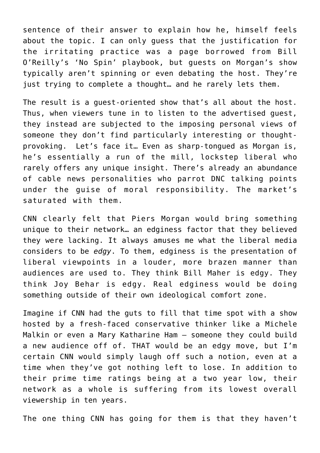sentence of their answer to explain how he, himself feels about the topic. I can only guess that the justification for the irritating practice was a page borrowed from Bill O'Reilly's 'No Spin' playbook, but guests on Morgan's show typically aren't spinning or even debating the host. They're just trying to complete a thought… and he rarely lets them.

The result is a guest-oriented show that's all about the host. Thus, when viewers tune in to listen to the advertised guest, they instead are subjected to the imposing personal views of someone they don't find particularly interesting or thoughtprovoking. Let's face it… Even as sharp-tongued as Morgan is, he's essentially a run of the mill, lockstep liberal who rarely offers any unique insight. There's already an abundance of cable news personalities who parrot DNC talking points under the guise of moral responsibility. The market's saturated with them.

CNN clearly felt that Piers Morgan would bring something unique to their network… an edginess factor that they believed they were lacking. It always amuses me what the liberal media considers to be *edgy*. To them, edginess is the presentation of liberal viewpoints in a louder, more brazen manner than audiences are used to. They think Bill Maher is edgy. They think Joy Behar is edgy. Real edginess would be doing something outside of their own ideological comfort zone.

Imagine if CNN had the guts to fill that time spot with a show hosted by a fresh-faced conservative thinker like a Michele Malkin or even a Mary Katharine Ham – someone they could build a new audience off of. THAT would be an edgy move, but I'm certain CNN would simply laugh off such a notion, even at a time when they've got nothing left to lose. In addition to their prime time ratings being at a two year low, their network as a whole is suffering from its lowest overall viewership in ten years.

The one thing CNN has going for them is that they haven't